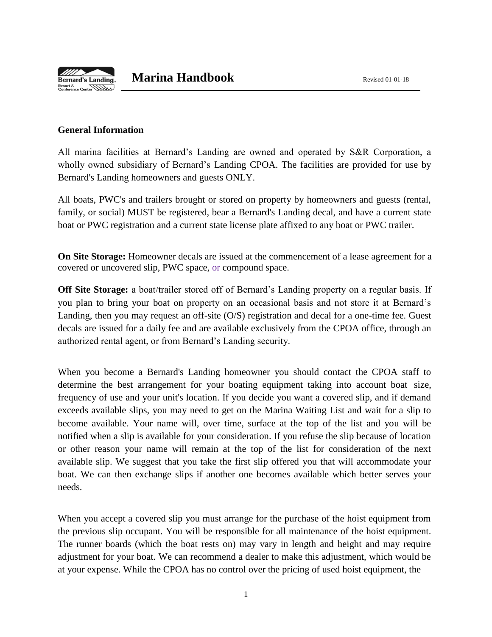

# **Marina Handbook** Revised 01-01-18

## **General Information**

All marina facilities at Bernard's Landing are owned and operated by S&R Corporation, a wholly owned subsidiary of Bernard's Landing CPOA. The facilities are provided for use by Bernard's Landing homeowners and guests ONLY.

All boats, PWC's and trailers brought or stored on property by homeowners and guests (rental, family, or social) MUST be registered, bear a Bernard's Landing decal, and have a current state boat or PWC registration and a current state license plate affixed to any boat or PWC trailer.

**On Site Storage:** Homeowner decals are issued at the commencement of a lease agreement for a covered or uncovered slip, PWC space, or compound space.

**Off Site Storage:** a boat/trailer stored off of Bernard's Landing property on a regular basis. If you plan to bring your boat on property on an occasional basis and not store it at Bernard's Landing, then you may request an off-site (O/S) registration and decal for a one-time fee. Guest decals are issued for a daily fee and are available exclusively from the CPOA office, through an authorized rental agent, or from Bernard's Landing security.

When you become a Bernard's Landing homeowner you should contact the CPOA staff to determine the best arrangement for your boating equipment taking into account boat size, frequency of use and your unit's location. If you decide you want a covered slip, and if demand exceeds available slips, you may need to get on the Marina Waiting List and wait for a slip to become available. Your name will, over time, surface at the top of the list and you will be notified when a slip is available for your consideration. If you refuse the slip because of location or other reason your name will remain at the top of the list for consideration of the next available slip. We suggest that you take the first slip offered you that will accommodate your boat. We can then exchange slips if another one becomes available which better serves your needs.

When you accept a covered slip you must arrange for the purchase of the hoist equipment from the previous slip occupant. You will be responsible for all maintenance of the hoist equipment. The runner boards (which the boat rests on) may vary in length and height and may require adjustment for your boat. We can recommend a dealer to make this adjustment, which would be at your expense. While the CPOA has no control over the pricing of used hoist equipment, the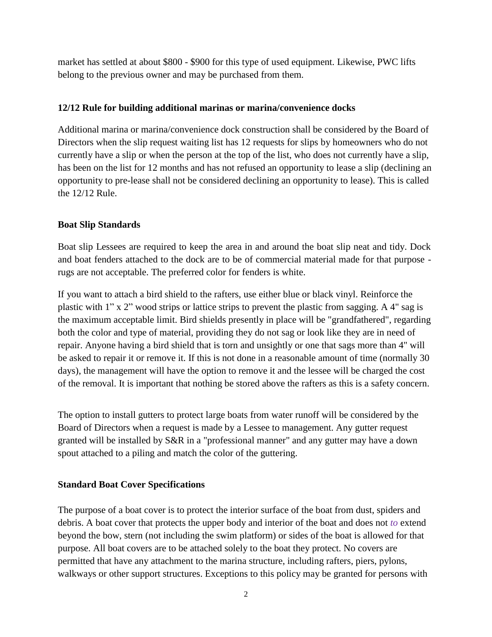market has settled at about \$800 - \$900 for this type of used equipment. Likewise, PWC lifts belong to the previous owner and may be purchased from them.

# **12/12 Rule for building additional marinas or marina/convenience docks**

Additional marina or marina/convenience dock construction shall be considered by the Board of Directors when the slip request waiting list has 12 requests for slips by homeowners who do not currently have a slip or when the person at the top of the list, who does not currently have a slip, has been on the list for 12 months and has not refused an opportunity to lease a slip (declining an opportunity to pre-lease shall not be considered declining an opportunity to lease). This is called the 12/12 Rule.

# **Boat Slip Standards**

Boat slip Lessees are required to keep the area in and around the boat slip neat and tidy. Dock and boat fenders attached to the dock are to be of commercial material made for that purpose rugs are not acceptable. The preferred color for fenders is white.

If you want to attach a bird shield to the rafters, use either blue or black vinyl. Reinforce the plastic with  $1" x 2"$  wood strips or lattice strips to prevent the plastic from sagging. A 4" sag is the maximum acceptable limit. Bird shields presently in place will be "grandfathered", regarding both the color and type of material, providing they do not sag or look like they are in need of repair. Anyone having a bird shield that is torn and unsightly or one that sags more than 4" will be asked to repair it or remove it. If this is not done in a reasonable amount of time (normally 30 days), the management will have the option to remove it and the lessee will be charged the cost of the removal. It is important that nothing be stored above the rafters as this is a safety concern.

The option to install gutters to protect large boats from water runoff will be considered by the Board of Directors when a request is made by a Lessee to management. Any gutter request granted will be installed by S&R in a "professional manner" and any gutter may have a down spout attached to a piling and match the color of the guttering.

# **Standard Boat Cover Specifications**

The purpose of a boat cover is to protect the interior surface of the boat from dust, spiders and debris. A boat cover that protects the upper body and interior of the boat and does not *to* extend beyond the bow, stern (not including the swim platform) or sides of the boat is allowed for that purpose. All boat covers are to be attached solely to the boat they protect. No covers are permitted that have any attachment to the marina structure, including rafters, piers, pylons, walkways or other support structures. Exceptions to this policy may be granted for persons with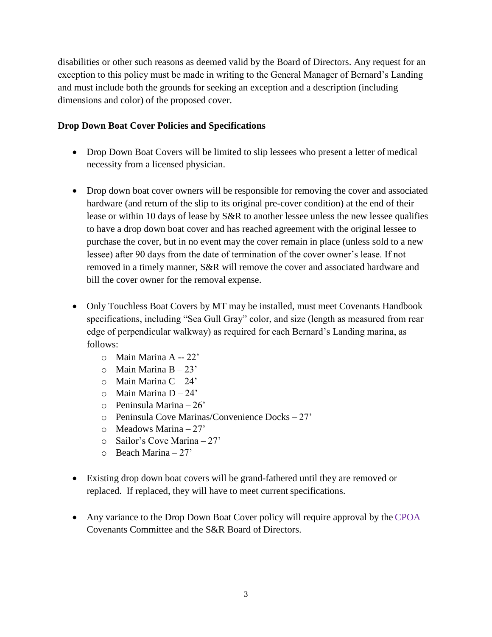disabilities or other such reasons as deemed valid by the Board of Directors. Any request for an exception to this policy must be made in writing to the General Manager of Bernard's Landing and must include both the grounds for seeking an exception and a description (including dimensions and color) of the proposed cover.

## **Drop Down Boat Cover Policies and Specifications**

- Drop Down Boat Covers will be limited to slip lessees who present a letter of medical necessity from a licensed physician.
- Drop down boat cover owners will be responsible for removing the cover and associated hardware (and return of the slip to its original pre-cover condition) at the end of their lease or within 10 days of lease by S&R to another lessee unless the new lessee qualifies to have a drop down boat cover and has reached agreement with the original lessee to purchase the cover, but in no event may the cover remain in place (unless sold to a new lessee) after 90 days from the date of termination of the cover owner's lease. If not removed in a timely manner, S&R will remove the cover and associated hardware and bill the cover owner for the removal expense.
- Only Touchless Boat Covers by MT may be installed, must meet Covenants Handbook specifications, including "Sea Gull Gray" color, and size (length as measured from rear edge of perpendicular walkway) as required for each Bernard's Landing marina, as follows:
	- o Main Marina A -- 22'
	- $\circ$  Main Marina B 23'
	- o Main Marina C 24'
	- o Main Marina D 24'
	- o Peninsula Marina 26'
	- o Peninsula Cove Marinas/Convenience Docks 27'
	- $\circ$  Meadows Marina 27'
	- o Sailor's Cove Marina 27'
	- $\circ$  Beach Marina 27'
- Existing drop down boat covers will be grand-fathered until they are removed or replaced. If replaced, they will have to meet current specifications.
- Any variance to the Drop Down Boat Cover policy will require approval by the CPOA Covenants Committee and the S&R Board of Directors.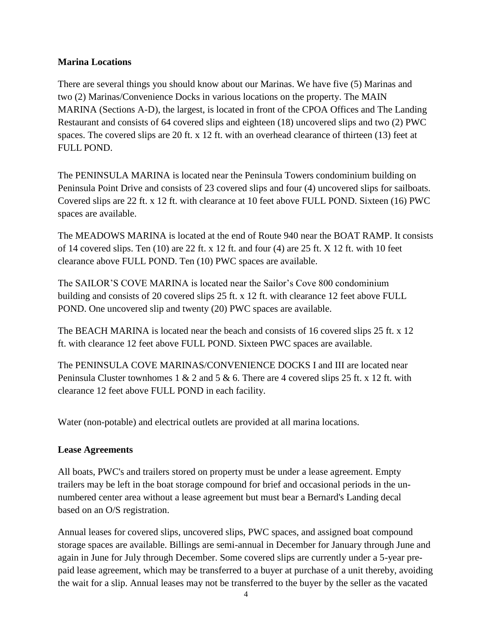# **Marina Locations**

There are several things you should know about our Marinas. We have five (5) Marinas and two (2) Marinas/Convenience Docks in various locations on the property. The MAIN MARINA (Sections A-D), the largest, is located in front of the CPOA Offices and The Landing Restaurant and consists of 64 covered slips and eighteen (18) uncovered slips and two (2) PWC spaces. The covered slips are 20 ft. x 12 ft. with an overhead clearance of thirteen (13) feet at FULL POND.

The PENINSULA MARINA is located near the Peninsula Towers condominium building on Peninsula Point Drive and consists of 23 covered slips and four (4) uncovered slips for sailboats. Covered slips are 22 ft. x 12 ft. with clearance at 10 feet above FULL POND. Sixteen (16) PWC spaces are available.

The MEADOWS MARINA is located at the end of Route 940 near the BOAT RAMP. It consists of 14 covered slips. Ten (10) are 22 ft. x 12 ft. and four (4) are 25 ft. X 12 ft. with 10 feet clearance above FULL POND. Ten (10) PWC spaces are available.

The SAILOR'S COVE MARINA is located near the Sailor's Cove 800 condominium building and consists of 20 covered slips 25 ft. x 12 ft. with clearance 12 feet above FULL POND. One uncovered slip and twenty (20) PWC spaces are available.

The BEACH MARINA is located near the beach and consists of 16 covered slips 25 ft. x 12 ft. with clearance 12 feet above FULL POND. Sixteen PWC spaces are available.

The PENINSULA COVE MARINAS/CONVENIENCE DOCKS I and III are located near Peninsula Cluster townhomes 1 & 2 and 5 & 6. There are 4 covered slips 25 ft. x 12 ft. with clearance 12 feet above FULL POND in each facility.

Water (non-potable) and electrical outlets are provided at all marina locations.

# **Lease Agreements**

All boats, PWC's and trailers stored on property must be under a lease agreement. Empty trailers may be left in the boat storage compound for brief and occasional periods in the unnumbered center area without a lease agreement but must bear a Bernard's Landing decal based on an O/S registration.

Annual leases for covered slips, uncovered slips, PWC spaces, and assigned boat compound storage spaces are available. Billings are semi-annual in December for January through June and again in June for July through December. Some covered slips are currently under a 5-year prepaid lease agreement, which may be transferred to a buyer at purchase of a unit thereby, avoiding the wait for a slip. Annual leases may not be transferred to the buyer by the seller as the vacated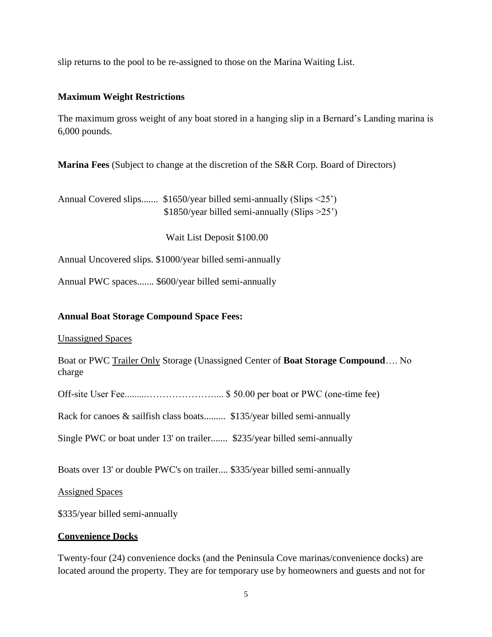slip returns to the pool to be re-assigned to those on the Marina Waiting List.

## **Maximum Weight Restrictions**

The maximum gross weight of any boat stored in a hanging slip in a Bernard's Landing marina is 6,000 pounds.

**Marina Fees** (Subject to change at the discretion of the S&R Corp. Board of Directors)

Annual Covered slips....... \$1650/year billed semi-annually (Slips <25') \$1850/year billed semi-annually (Slips >25')

Wait List Deposit \$100.00

Annual Uncovered slips. \$1000/year billed semi-annually

Annual PWC spaces....... \$600/year billed semi-annually

## **Annual Boat Storage Compound Space Fees:**

Unassigned Spaces

Boat or PWC Trailer Only Storage (Unassigned Center of **Boat Storage Compound**…. No charge

Off-site User Fee.........………………….... \$ 50.00 per boat or PWC (one-time fee)

Rack for canoes & sailfish class boats......... \$135/year billed semi-annually

Single PWC or boat under 13' on trailer....... \$235/year billed semi-annually

Boats over 13' or double PWC's on trailer.... \$335/year billed semi-annually

Assigned Spaces

\$335/year billed semi-annually

#### **Convenience Docks**

Twenty-four (24) convenience docks (and the Peninsula Cove marinas/convenience docks) are located around the property. They are for temporary use by homeowners and guests and not for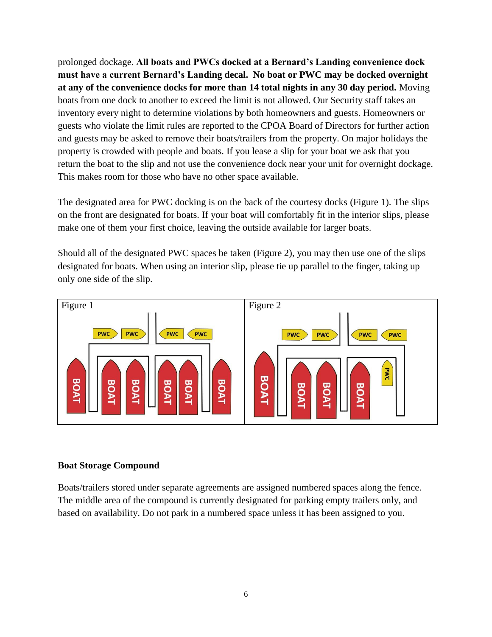prolonged dockage. **All boats and PWCs docked at a Bernard's Landing convenience dock must have a current Bernard's Landing decal. No boat or PWC may be docked overnight at any of the convenience docks for more than 14 total nights in any 30 day period.** Moving boats from one dock to another to exceed the limit is not allowed. Our Security staff takes an inventory every night to determine violations by both homeowners and guests. Homeowners or guests who violate the limit rules are reported to the CPOA Board of Directors for further action and guests may be asked to remove their boats/trailers from the property. On major holidays the property is crowded with people and boats. If you lease a slip for your boat we ask that you return the boat to the slip and not use the convenience dock near your unit for overnight dockage. This makes room for those who have no other space available.

The designated area for PWC docking is on the back of the courtesy docks (Figure 1). The slips on the front are designated for boats. If your boat will comfortably fit in the interior slips, please make one of them your first choice, leaving the outside available for larger boats.

Should all of the designated PWC spaces be taken (Figure 2), you may then use one of the slips designated for boats. When using an interior slip, please tie up parallel to the finger, taking up only one side of the slip.



#### **Boat Storage Compound**

Boats/trailers stored under separate agreements are assigned numbered spaces along the fence. The middle area of the compound is currently designated for parking empty trailers only, and based on availability. Do not park in a numbered space unless it has been assigned to you.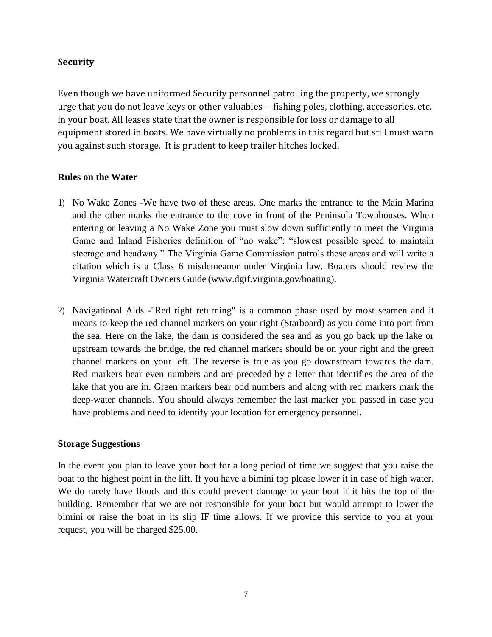# **Security**

Even though we have uniformed Security personnel patrolling the property, we strongly urge that you do not leave keys or other valuables -- fishing poles, clothing, accessories, etc. in your boat. All leases state that the owner is responsible for loss or damage to all equipment stored in boats. We have virtually no problems in this regard but still must warn you against such storage. It is prudent to keep trailer hitches locked.

## **Rules on the Water**

- 1) No Wake Zones -We have two of these areas. One marks the entrance to the Main Marina and the other marks the entrance to the cove in front of the Peninsula Townhouses. When entering or leaving a No Wake Zone you must slow down sufficiently to meet the Virginia Game and Inland Fisheries definition of "no wake": "slowest possible speed to maintain steerage and headway." The Virginia Game Commission patrols these areas and will write a citation which is a Class 6 misdemeanor under Virginia law. Boaters should review the Virginia Watercraft Owners Guide [\(www.dgif.virginia.gov/boating\).](http://www.dgif.virginia.gov/boating))
- 2) Navigational Aids -"Red right returning" is a common phase used by most seamen and it means to keep the red channel markers on your right (Starboard) as you come into port from the sea. Here on the lake, the dam is considered the sea and as you go back up the lake or upstream towards the bridge, the red channel markers should be on your right and the green channel markers on your left. The reverse is true as you go downstream towards the dam. Red markers bear even numbers and are preceded by a letter that identifies the area of the lake that you are in. Green markers bear odd numbers and along with red markers mark the deep-water channels. You should always remember the last marker you passed in case you have problems and need to identify your location for emergency personnel.

#### **Storage Suggestions**

In the event you plan to leave your boat for a long period of time we suggest that you raise the boat to the highest point in the lift. If you have a bimini top please lower it in case of high water. We do rarely have floods and this could prevent damage to your boat if it hits the top of the building. Remember that we are not responsible for your boat but would attempt to lower the bimini or raise the boat in its slip IF time allows. If we provide this service to you at your request, you will be charged \$25.00.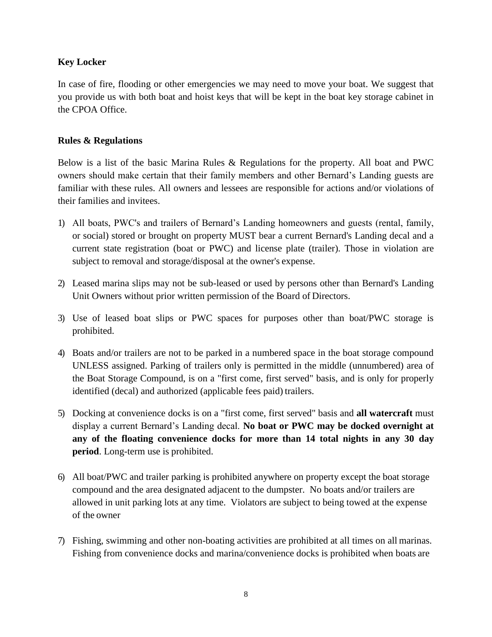# **Key Locker**

In case of fire, flooding or other emergencies we may need to move your boat. We suggest that you provide us with both boat and hoist keys that will be kept in the boat key storage cabinet in the CPOA Office.

## **Rules & Regulations**

Below is a list of the basic Marina Rules & Regulations for the property. All boat and PWC owners should make certain that their family members and other Bernard's Landing guests are familiar with these rules. All owners and lessees are responsible for actions and/or violations of their families and invitees.

- 1) All boats, PWC's and trailers of Bernard's Landing homeowners and guests (rental, family, or social) stored or brought on property MUST bear a current Bernard's Landing decal and a current state registration (boat or PWC) and license plate (trailer). Those in violation are subject to removal and storage/disposal at the owner's expense.
- 2) Leased marina slips may not be sub-leased or used by persons other than Bernard's Landing Unit Owners without prior written permission of the Board of Directors.
- 3) Use of leased boat slips or PWC spaces for purposes other than boat/PWC storage is prohibited.
- 4) Boats and/or trailers are not to be parked in a numbered space in the boat storage compound UNLESS assigned. Parking of trailers only is permitted in the middle (unnumbered) area of the Boat Storage Compound, is on a "first come, first served" basis, and is only for properly identified (decal) and authorized (applicable fees paid) trailers.
- 5) Docking at convenience docks is on a "first come, first served" basis and **all watercraft** must display a current Bernard's Landing decal. **No boat or PWC may be docked overnight at any of the floating convenience docks for more than 14 total nights in any 30 day period**. Long-term use is prohibited.
- 6) All boat/PWC and trailer parking is prohibited anywhere on property except the boat storage compound and the area designated adjacent to the dumpster. No boats and/or trailers are allowed in unit parking lots at any time. Violators are subject to being towed at the expense of the owner
- 7) Fishing, swimming and other non-boating activities are prohibited at all times on all marinas. Fishing from convenience docks and marina/convenience docks is prohibited when boats are